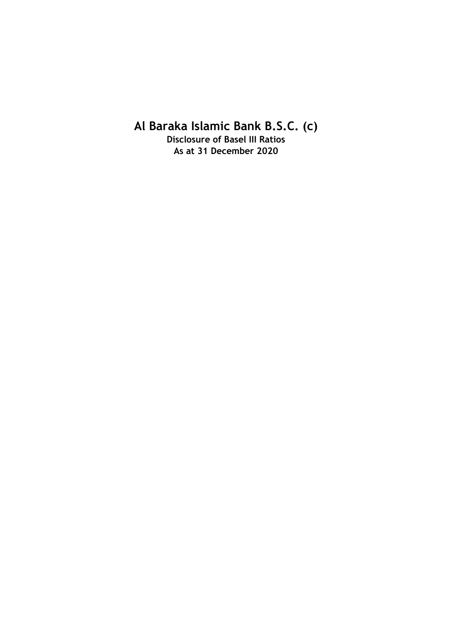# **Al Baraka Islamic Bank B.S.C. (c)**

**Disclosure of Basel III Ratios As at 31 December 2020**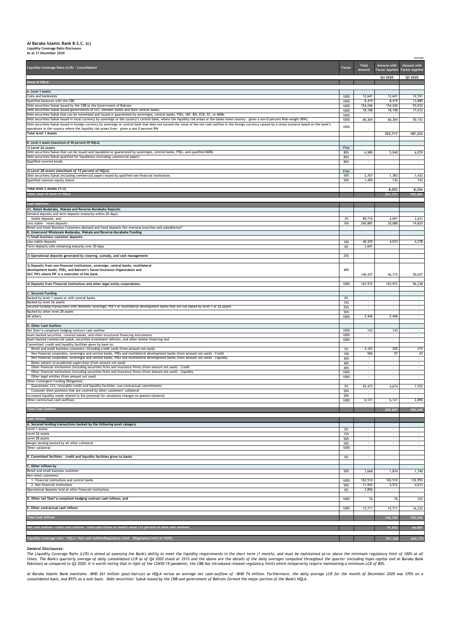## **Al Baraka Islamic Bank B.S.C. (c) Liquidity Coverage Ratio Disclosure As at 31 December 2020**

*BHD'000*

| <b>Liquidity Coverage Ratio (LCR) - Consolidated</b>                                                                                                                                                                                                                                                                                  | Factor       | <b>Total</b><br>Amount   | Amount with<br><b>Factor Applied   Factor Applied  </b> | <b>Amount with</b> |
|---------------------------------------------------------------------------------------------------------------------------------------------------------------------------------------------------------------------------------------------------------------------------------------------------------------------------------------|--------------|--------------------------|---------------------------------------------------------|--------------------|
| <b>Stock of HQLA</b>                                                                                                                                                                                                                                                                                                                  |              |                          | Q4 2020                                                 | Q3 2020            |
| A. Level 1 assets:                                                                                                                                                                                                                                                                                                                    |              |                          |                                                         |                    |
| Coins and banknotes<br>Qualified balances with the CBB                                                                                                                                                                                                                                                                                | 100%<br>100% | 12,641<br>8,419          | 12,641<br>8,419                                         | 12,551<br>13,885   |
| Debt securities/Sukuk issued by the CBB or the Government of Bahrain<br>Debt securities/Sukuk issued governments of GCC member states and their central banks;                                                                                                                                                                        | 100%<br>100% | 154,246<br>18,108        | 154,246<br>18,108                                       | 93,032<br>17,612   |
| Debt securities/Sukuk that can be monetised and issued or guaranteed by sovereigns, central banks, PSEs, IMF, BIS, ECB, EC, or MDBs<br>Debt securities/Sukuk issued in local currency by sovereign or the country's central bank, where the liquidity risk arises or the banks home country - given a non-0 percent Risk-weight (RW); | 100%         |                          |                                                         |                    |
| Debt securities/Sukuk issued in foreign currency by sovereign or central bank that does not exceed the value of the net cash outflow in the foreign currency caused by a stress scenario based on the bank's                                                                                                                          | 100%<br>100% | 60,304                   | 60,304                                                  | 50,153             |
| operations in the country where the liquidity risk arises from - given a non-0 percent RW<br><b>Total level 1 Assets</b>                                                                                                                                                                                                              |              |                          | 253,717                                                 | 187,233            |
| B. Level 2 assets (maximum of 40 percent Of HQLA)                                                                                                                                                                                                                                                                                     |              |                          |                                                         |                    |
| 1) Level 2A assets<br>Debt securities/Sukuk that can be issued and liquidated or guaranteed by sovereigns, central banks, PSEs, and qualified MDBs                                                                                                                                                                                    | Fine<br>85%  | 6,989                    | 5,940                                                   | 6,079              |
| Debt securities/Sukuk qualified for liquidation (including commercial paper)                                                                                                                                                                                                                                                          | 85%          | $\sim$                   |                                                         | $\sim$             |
| Qualified covered bonds                                                                                                                                                                                                                                                                                                               | 85%          |                          |                                                         |                    |
| 2) Level 2B assets (maximum of 15 percent of HQLA)<br>Debt securities/Sukuk (including commercial paper) issued by qualified non-financial institutions                                                                                                                                                                               | Fine<br>50%  | 2,767                    | 1,383                                                   | 1,432              |
| Qualified common equity shares                                                                                                                                                                                                                                                                                                        | 50%          | 1,459                    | 730                                                     | 743                |
| Total level 2 Assets (1+2)<br>Total value of stock of HQLA                                                                                                                                                                                                                                                                            |              |                          | 8,053                                                   | 8,254              |
|                                                                                                                                                                                                                                                                                                                                       |              |                          | 261,771                                                 | 195,487            |
| <b>Cash Outflows</b><br>A1. Retail Mudaraba, Wakala and Reverse Murabaha Deposits                                                                                                                                                                                                                                                     |              |                          |                                                         |                    |
| Demand deposits and term deposits (maturity within 30 days)<br>Stable deposits; and                                                                                                                                                                                                                                                   | 3%           | 89,716                   | 2,691                                                   | 2,631              |
| Less stable - retail deposits                                                                                                                                                                                                                                                                                                         | 10%          | 200,885                  | 20,088                                                  | 19,820             |
| Retail and Small Business Customers demand and fixed deposits (for overseas branches and subsidiaries)*<br>B. Unsecured Wholesale Mudaraba, Wakala and Reverse Murabaha Funding                                                                                                                                                       |              |                          |                                                         |                    |
| 1) Small business customer deposits:<br>Less stable deposits                                                                                                                                                                                                                                                                          | 10%          | 40,329                   | 4,033                                                   | 4,278              |
| Term deposits with remaining maturity over 30 days                                                                                                                                                                                                                                                                                    | 0%           | 3,641                    |                                                         |                    |
| 2) Operational deposits generated by clearing, custody, and cash management:                                                                                                                                                                                                                                                          | 25%          | $\sim$                   |                                                         | $\sim$             |
| 3) Deposits from non-financial institutions, sovereign, central banks, multilateral                                                                                                                                                                                                                                                   |              |                          |                                                         |                    |
| development banks, PSEs, and Bahrain's Social Insurance Organization and<br>GCC PIFs where PIF is a controller of the bank.                                                                                                                                                                                                           | 40%          | 140,437                  | 56,175                                                  | 50,657             |
| [4] Deposits from Financial Institutions and other legal entity corporations.                                                                                                                                                                                                                                                         | 100%         | 103,972                  | 103,972                                                 | 96,238             |
|                                                                                                                                                                                                                                                                                                                                       |              |                          |                                                         |                    |
| C. Secured Funding<br>Backed by level 1 assets or with central banks                                                                                                                                                                                                                                                                  | 0%           |                          |                                                         |                    |
| Backed by level 2A assets<br>Secured funding transactions with domestic sovereign, PSE's or multilateral development banks that are not baked by level 1 or 2A assets                                                                                                                                                                 | 15%<br>25%   | $\overline{\phantom{a}}$ |                                                         | $\sim$             |
| Backed by other level 2B assets<br>All others                                                                                                                                                                                                                                                                                         | 50%<br>100%  | 2,446                    | 2,446                                                   | $\sim$             |
|                                                                                                                                                                                                                                                                                                                                       |              |                          |                                                         |                    |
| D. Other Cash Outflow<br>Net Shari'a-compliant hedging contract cash outflow                                                                                                                                                                                                                                                          | 100%         | 143                      | 143                                                     | $\sim$ 10 $\pm$    |
| Asset-backed securities, covered sukuks, and other structured financing instruments<br>Asset-backed commercial sukuk, securities investment vehicles, and other similar financing tool                                                                                                                                                | 100%<br>100% |                          |                                                         |                    |
| Committed: credit and liquidity facilities given by bank to:<br>Retail and small business customers, including credit cards (from amount not used)                                                                                                                                                                                    | 5%           | 4,103                    | 205                                                     | 215                |
| Non-financial corporates, sovereigns and central banks, PSEs and multilateral development banks (from amount not used) - Credit                                                                                                                                                                                                       | 10%          | 566                      | 57                                                      | 63                 |
| Non-financial corporates, sovereigns and central banks, PSEs and multilateral development banks (from amount not used) - Liquidity<br>Banks subject to prudential supervision (from amount not used)                                                                                                                                  | 30%<br>40%   | $\sim$                   |                                                         |                    |
| Other financial institutions (including securities firms and insurance firms) (from amount not used) - Credit<br>Other financial institutions (including securities firms and insurance firms) (from amount not used) - Liquidity                                                                                                     | 40%<br>100%  | $\sim$                   |                                                         | $\sim$<br>$\sim$   |
| Other legal entities (from amount not used)<br>Other Contingent Funding Obligations:                                                                                                                                                                                                                                                  | 100%         |                          |                                                         |                    |
| Guarantees, LCs, revocable credit and liquidity facilities, non-contractual commitments                                                                                                                                                                                                                                               | 5%           | 93,473                   | 4,674                                                   | 7,555              |
| Customer short positions that are covered by other customers' collateral<br>Increased liquidity needs related to the potential for valuations changes on posted collateral                                                                                                                                                            | 50%<br>20%   | $\sim$                   |                                                         | $\sim$             |
| Other contractual cash outflows                                                                                                                                                                                                                                                                                                       | 100%         | 6,121                    | 6,121                                                   | 2,890              |
| <b>Total Cash Outflow</b>                                                                                                                                                                                                                                                                                                             |              |                          | 200,605                                                 | 184,349            |
| <b>Cash Inflows</b>                                                                                                                                                                                                                                                                                                                   |              |                          |                                                         |                    |
| A. Secured lending transactions backed by the following asset category<br>Level 1 assets                                                                                                                                                                                                                                              | 0%           | $\sim$                   |                                                         | $\sim$             |
| Level 2A assets<br>Level 2B assets                                                                                                                                                                                                                                                                                                    | 15%<br>50%   |                          |                                                         | $\sim$             |
| Margin lending backed by all other collateral                                                                                                                                                                                                                                                                                         | 50%          | $\sim$                   |                                                         | $\sim$             |
| Other collateral                                                                                                                                                                                                                                                                                                                      | 100%         | $\sim$                   |                                                         | $\sim$             |
| B. Committed facilities - credit and liquidity facilities given to banks                                                                                                                                                                                                                                                              | 0%           | $\sim$                   |                                                         | $\sim$             |
| C. Other inflows by<br>Retail and small business customer                                                                                                                                                                                                                                                                             | 50%          | 3,668                    | 1,834                                                   | 1,740              |
| Non-retail customers:<br>1. Financial institutions and central banks                                                                                                                                                                                                                                                                  | 100%         | 102,510                  | 102,510                                                 | 132,993            |
| 2. Non-financial institutions                                                                                                                                                                                                                                                                                                         | 50%          | 11,943                   | 5,972                                                   | 4,013              |
| Operational deposits held at other financial institutions                                                                                                                                                                                                                                                                             | 0%           | 3,856                    |                                                         | $\sim$             |
| D. Other net Shari'a-compliant hedging contract cash inflows; and                                                                                                                                                                                                                                                                     | 100%         | 76                       | 76                                                      | 352                |
| E. Other contractual cash inflows                                                                                                                                                                                                                                                                                                     | 100%         | 15,711                   | 15,711                                                  | 16,232             |
| <b>Total Cash Inflows</b>                                                                                                                                                                                                                                                                                                             |              |                          | 126,103                                                 | 155,330            |
| Net cash outflow = total cash outflow - total cash inflow or lowest value (75 percent of total cash outflow)                                                                                                                                                                                                                          |              |                          | 74,502                                                  | 46,087             |

The Liquidity Coverage Ratio (LCR) is aimed at assessing the Bank's ability to meet the liquidity requirements in the short term (1 month), and must be maintained at/or above the minimum regulatory limit of 100% at all times. The Bank's quarterly average of daily consolidated LCR as of Q4 2020 stood at 351% and the above are the details of the daily averages computed throughout the quarter (including Itqan capital and Al Baraka Bank *Pakistan) as compared to Q3 2020. It is worth noting that in light of the COVID-19 pandemic, the CBB has introduced relaxed regulatory limits which temporarily require maintaining a minimum LCR of 80%.*

Al Baraka Islamic Bank maintains ~BHD 261 million (post-haircut) as HQLA versus an average net cash-outflow of ~BHD 74 million. Furthermore, the daily average LCR for the month of December 2020 was 370% on a *consolidated basis, and 857% on a solo basis. Debt securities/ Sukuk issued by the CBB and government of Bahrain formed the major portion of the Bank's HQLA.*

#### *General Disclosures:*